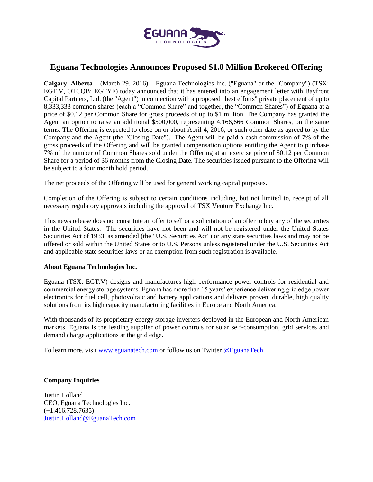

## **Eguana Technologies Announces Proposed \$1.0 Million Brokered Offering**

**Calgary, Alberta** – (March 29, 2016) – Eguana Technologies Inc. ("Eguana" or the "Company") (TSX: EGT.V, OTCQB: EGTYF) today announced that it has entered into an engagement letter with Bayfront Capital Partners, Ltd. (the "Agent") in connection with a proposed "best efforts" private placement of up to 8,333,333 common shares (each a "Common Share" and together, the "Common Shares") of Eguana at a price of \$0.12 per Common Share for gross proceeds of up to \$1 million. The Company has granted the Agent an option to raise an additional \$500,000, representing 4,166,666 Common Shares, on the same terms. The Offering is expected to close on or about April 4, 2016, or such other date as agreed to by the Company and the Agent (the "Closing Date"). The Agent will be paid a cash commission of 7% of the gross proceeds of the Offering and will be granted compensation options entitling the Agent to purchase 7% of the number of Common Shares sold under the Offering at an exercise price of \$0.12 per Common Share for a period of 36 months from the Closing Date. The securities issued pursuant to the Offering will be subject to a four month hold period.

The net proceeds of the Offering will be used for general working capital purposes.

Completion of the Offering is subject to certain conditions including, but not limited to, receipt of all necessary regulatory approvals including the approval of TSX Venture Exchange Inc.

This news release does not constitute an offer to sell or a solicitation of an offer to buy any of the securities in the United States. The securities have not been and will not be registered under the United States Securities Act of 1933, as amended (the "U.S. Securities Act") or any state securities laws and may not be offered or sold within the United States or to U.S. Persons unless registered under the U.S. Securities Act and applicable state securities laws or an exemption from such registration is available.

## **About Eguana Technologies Inc.**

Eguana (TSX: EGT.V) designs and manufactures high performance power controls for residential and commercial energy storage systems. Eguana has more than 15 years' experience delivering grid edge power electronics for fuel cell, photovoltaic and battery applications and delivers proven, durable, high quality solutions from its high capacity manufacturing facilities in Europe and North America.

With thousands of its proprietary energy storage inverters deployed in the European and North American markets, Eguana is the leading supplier of power controls for solar self-consumption, grid services and demand charge applications at the grid edge.

To learn more, visit [www.eguanatech.com](http://www.eguanatech.com/) or follow us on Twitter [@EguanaTech](https://twitter.com/EguanaTech)

## **Company Inquiries**

Justin Holland CEO, Eguana Technologies Inc. (+1.416.728.7635) [Justin.Holland@EguanaTech.com](mailto:Justin.Holland@EguanaTech.com)